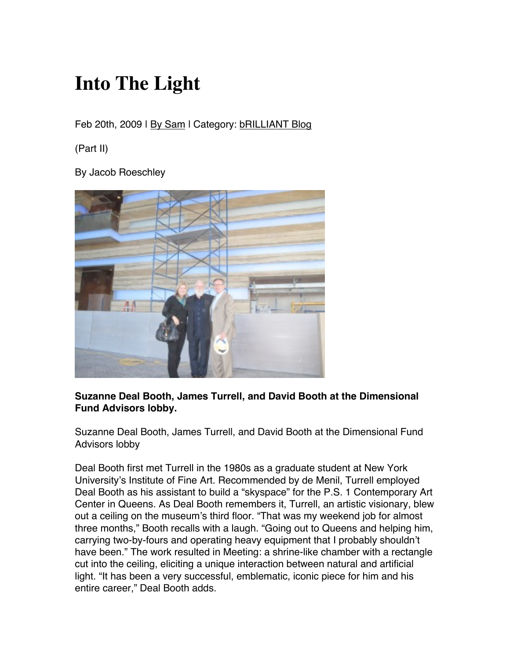## **Into The Light**

Feb 20th, 2009 | By Sam | Category: **bRILLIANT Blog** 

(Part II)

By Jacob Roeschley



## **Suzanne Deal Booth, James Turrell, and David Booth at the Dimensional Fund Advisors lobby.**

Suzanne Deal Booth, James Turrell, and David Booth at the Dimensional Fund Advisors lobby

Deal Booth first met Turrell in the 1980s as a graduate student at New York University's Institute of Fine Art. Recommended by de Menil, Turrell employed Deal Booth as his assistant to build a "skyspace" for the P.S. 1 Contemporary Art Center in Queens. As Deal Booth remembers it, Turrell, an artistic visionary, blew out a ceiling on the museum's third floor. "That was my weekend job for almost three months," Booth recalls with a laugh. "Going out to Queens and helping him, carrying two-by-fours and operating heavy equipment that I probably shouldn't have been." The work resulted in Meeting: a shrine-like chamber with a rectangle cut into the ceiling, eliciting a unique interaction between natural and artificial light. "It has been a very successful, emblematic, iconic piece for him and his entire career," Deal Booth adds.